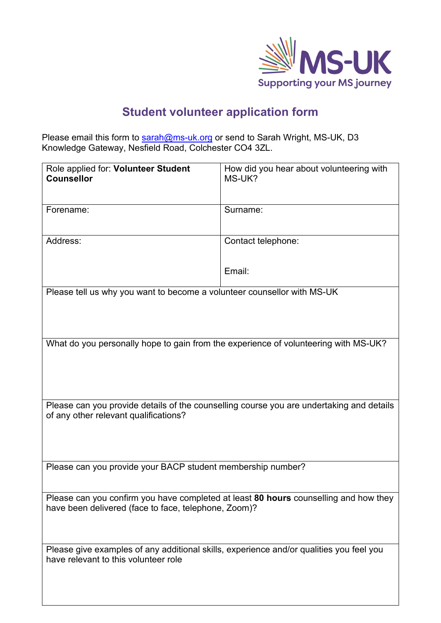

## **Student volunteer application form**

Please email this form to [sarah@ms-uk.org](mailto:sarah@ms-uk.org) or send to Sarah Wright, MS-UK, D3 Knowledge Gateway, Nesfield Road, Colchester CO4 3ZL.

| Role applied for: Volunteer Student<br><b>Counsellor</b>                                                                                     | How did you hear about volunteering with<br>MS-UK? |
|----------------------------------------------------------------------------------------------------------------------------------------------|----------------------------------------------------|
| Forename:                                                                                                                                    | Surname:                                           |
| Address:                                                                                                                                     | Contact telephone:                                 |
|                                                                                                                                              | Email:                                             |
| Please tell us why you want to become a volunteer counsellor with MS-UK                                                                      |                                                    |
| What do you personally hope to gain from the experience of volunteering with MS-UK?                                                          |                                                    |
| Please can you provide details of the counselling course you are undertaking and details<br>of any other relevant qualifications?            |                                                    |
| Please can you provide your BACP student membership number?                                                                                  |                                                    |
| Please can you confirm you have completed at least 80 hours counselling and how they<br>have been delivered (face to face, telephone, Zoom)? |                                                    |
| Please give examples of any additional skills, experience and/or qualities you feel you<br>have relevant to this volunteer role              |                                                    |